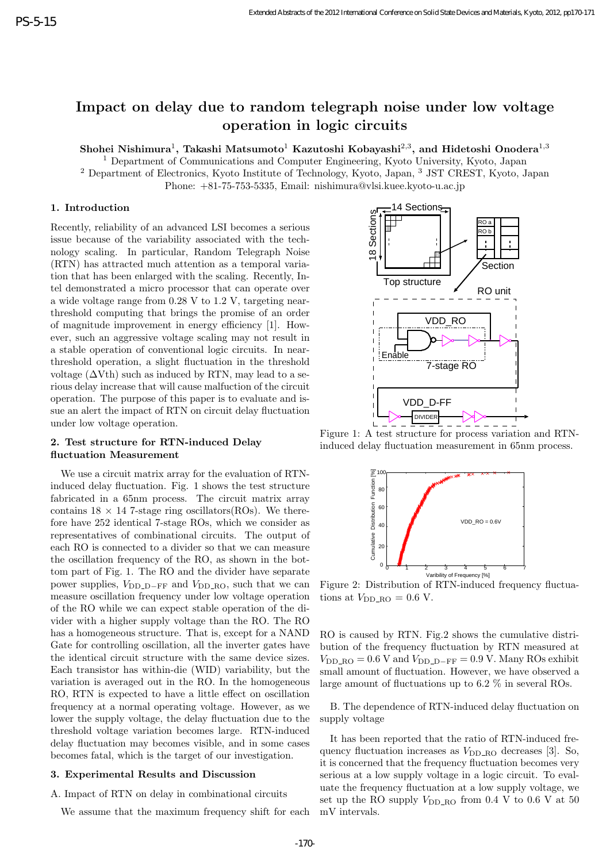# **Impact on delay due to random telegraph noise under low voltage operation in logic circuits**

 $\boldsymbol{\mathrm{S}}$ hohei Nishimura<sup>1</sup>, Takashi Matsumoto $^1$  Kazutoshi Kobayashi $^{2,3},$  and Hidetoshi Onodera $^{1,3}$ 

<sup>1</sup> Department of Communications and Computer Engineering, Kyoto University, Kyoto, Japan <sup>2</sup> Department of Electronics, Kyoto Institute of Technology, Kyoto, Japan, <sup>3</sup> JST CREST, Kyoto, Japan

Phone: +81-75-753-5335, Email: nishimura@vlsi.kuee.kyoto-u.ac.jp

## **1. Introduction**

Recently, reliability of an advanced LSI becomes a serious issue because of the variability associated with the technology scaling. In particular, Random Telegraph Noise (RTN) has attracted much attention as a temporal variation that has been enlarged with the scaling. Recently, Intel demonstrated a micro processor that can operate over a wide voltage range from 0.28 V to 1.2 V, targeting nearthreshold computing that brings the promise of an order of magnitude improvement in energy efficiency [1]. However, such an aggressive voltage scaling may not result in a stable operation of conventional logic circuits. In nearthreshold operation, a slight fluctuation in the threshold voltage  $(\Delta Vth)$  such as induced by RTN, may lead to a serious delay increase that will cause malfuction of the circuit operation. The purpose of this paper is to evaluate and issue an alert the impact of RTN on circuit delay fluctuation under low voltage operation.

## **2. Test structure for RTN-induced Delay fluctuation Measurement**

We use a circuit matrix array for the evaluation of RTNinduced delay fluctuation. Fig. 1 shows the test structure fabricated in a 65nm process. The circuit matrix array contains  $18 \times 14$  7-stage ring oscillators(ROs). We therefore have 252 identical 7-stage ROs, which we consider as representatives of combinational circuits. The output of each RO is connected to a divider so that we can measure the oscillation frequency of the RO, as shown in the bottom part of Fig. 1. The RO and the divider have separate power supplies,  $V_{\text{DD}\text{-}\text{D}-\text{FF}}$  and  $V_{\text{DD}\text{-}\text{RO}}$ , such that we can measure oscillation frequency under low voltage operation of the RO while we can expect stable operation of the divider with a higher supply voltage than the RO. The RO has a homogeneous structure. That is, except for a NAND Gate for controlling oscillation, all the inverter gates have the identical circuit structure with the same device sizes. Each transistor has within-die (WID) variability, but the variation is averaged out in the RO. In the homogeneous RO, RTN is expected to have a little effect on oscillation frequency at a normal operating voltage. However, as we lower the supply voltage, the delay fluctuation due to the threshold voltage variation becomes large. RTN-induced delay fluctuation may becomes visible, and in some cases becomes fatal, which is the target of our investigation.

#### **3. Experimental Results and Discussion**

A. Impact of RTN on delay in combinational circuits

We assume that the maximum frequency shift for each



Figure 1: A test structure for process variation and RTNinduced delay fluctuation measurement in 65nm process.



Figure 2: Distribution of RTN-induced frequency fluctuations at  $V_{\text{DD\_RO}} = 0.6 \text{ V}.$ 

RO is caused by RTN. Fig.2 shows the cumulative distribution of the frequency fluctuation by RTN measured at  $V_{\text{DD\_RO}} = 0.6$  V and  $V_{\text{DD\_D-FF}} = 0.9$  V. Many ROs exhibit small amount of fluctuation. However, we have observed a large amount of fluctuations up to 6.2 % in several ROs.

B. The dependence of RTN-induced delay fluctuation on supply voltage

It has been reported that the ratio of RTN-induced frequency fluctuation increases as  $V_{\text{DD\_RO}}$  decreases [3]. So, it is concerned that the frequency fluctuation becomes very serious at a low supply voltage in a logic circuit. To evaluate the frequency fluctuation at a low supply voltage, we set up the RO supply  $V_{\text{DD\_RO}}$  from 0.4 V to 0.6 V at 50 mV intervals.